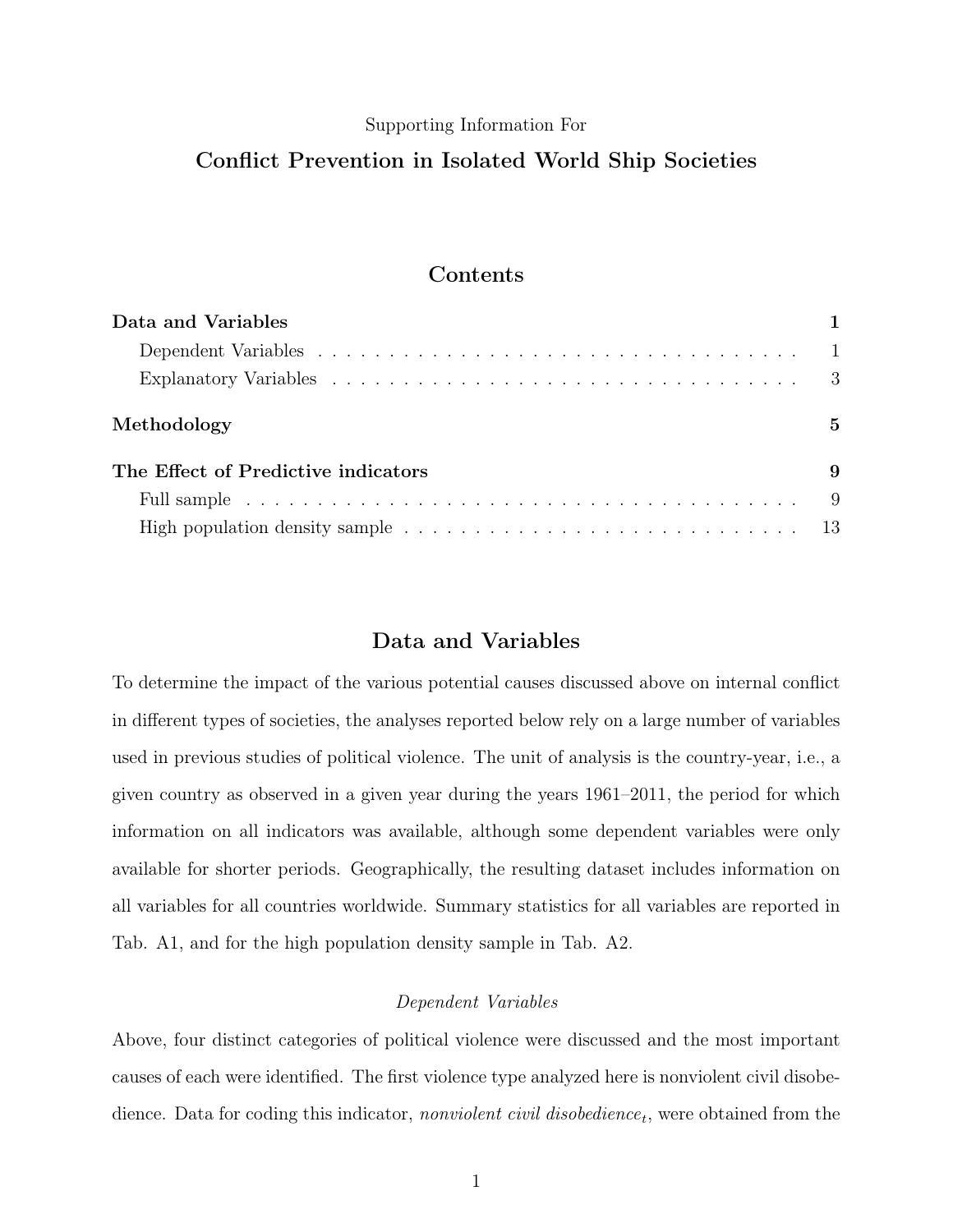#### Supporting Information For

# Conflict Prevention in Isolated World Ship Societies

## Contents

| Data and Variables                                                                                               |     |
|------------------------------------------------------------------------------------------------------------------|-----|
|                                                                                                                  |     |
|                                                                                                                  |     |
| Methodology                                                                                                      | 5   |
| The Effect of Predictive indicators                                                                              | 9   |
|                                                                                                                  | - 9 |
| High population density sample $\ldots \ldots \ldots \ldots \ldots \ldots \ldots \ldots \ldots \ldots \ldots 13$ |     |

## Data and Variables

To determine the impact of the various potential causes discussed above on internal conflict in different types of societies, the analyses reported below rely on a large number of variables used in previous studies of political violence. The unit of analysis is the country-year, i.e., a given country as observed in a given year during the years 1961–2011, the period for which information on all indicators was available, although some dependent variables were only available for shorter periods. Geographically, the resulting dataset includes information on all variables for all countries worldwide. Summary statistics for all variables are reported in Tab. A1, and for the high population density sample in Tab. A2.

#### Dependent Variables

Above, four distinct categories of political violence were discussed and the most important causes of each were identified. The first violence type analyzed here is nonviolent civil disobedience. Data for coding this indicator, *nonviolent civil disobedience<sub>t</sub>*, were obtained from the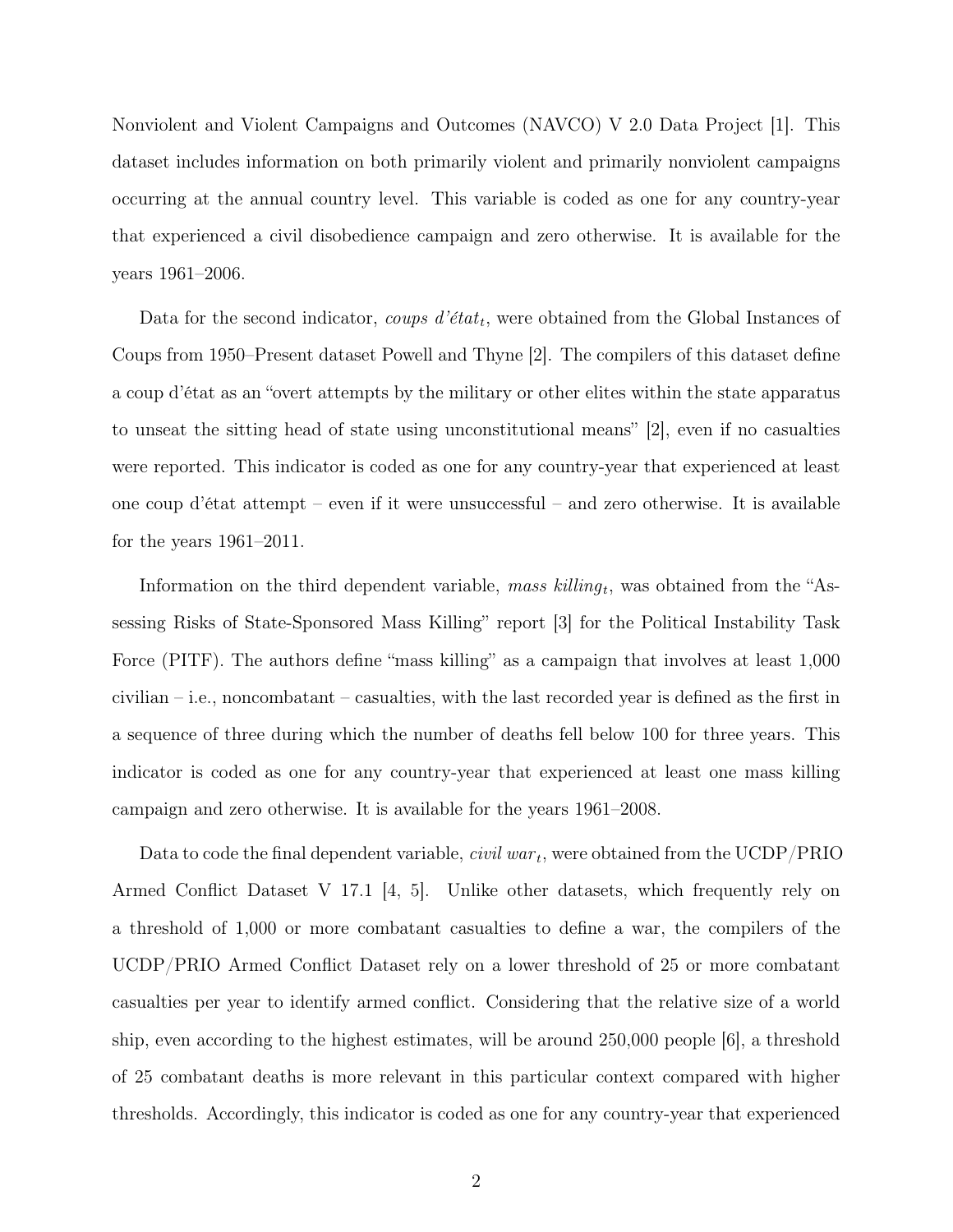Nonviolent and Violent Campaigns and Outcomes (NAVCO) V 2.0 Data Project [1]. This dataset includes information on both primarily violent and primarily nonviolent campaigns occurring at the annual country level. This variable is coded as one for any country-year that experienced a civil disobedience campaign and zero otherwise. It is available for the years 1961–2006.

Data for the second indicator, *coups d'état<sub>t</sub>*, were obtained from the Global Instances of Coups from 1950–Present dataset Powell and Thyne [2]. The compilers of this dataset define a coup d'état as an "overt attempts by the military or other elites within the state apparatus to unseat the sitting head of state using unconstitutional means" [2], even if no casualties were reported. This indicator is coded as one for any country-year that experienced at least one coup d'état attempt – even if it were unsuccessful – and zero otherwise. It is available for the years 1961–2011.

Information on the third dependent variable, mass  $killing_t$ , was obtained from the "Assessing Risks of State-Sponsored Mass Killing" report [3] for the Political Instability Task Force (PITF). The authors define "mass killing" as a campaign that involves at least  $1,000$ civilian – i.e., noncombatant – casualties, with the last recorded year is defined as the first in a sequence of three during which the number of deaths fell below 100 for three years. This indicator is coded as one for any country-year that experienced at least one mass killing campaign and zero otherwise. It is available for the years 1961–2008.

Data to code the final dependent variable, *civil war<sub>t</sub>*, were obtained from the UCDP/PRIO Armed Conflict Dataset V 17.1 [4, 5]. Unlike other datasets, which frequently rely on a threshold of 1,000 or more combatant casualties to define a war, the compilers of the UCDP/PRIO Armed Conflict Dataset rely on a lower threshold of 25 or more combatant casualties per year to identify armed conflict. Considering that the relative size of a world ship, even according to the highest estimates, will be around 250,000 people [6], a threshold of 25 combatant deaths is more relevant in this particular context compared with higher thresholds. Accordingly, this indicator is coded as one for any country-year that experienced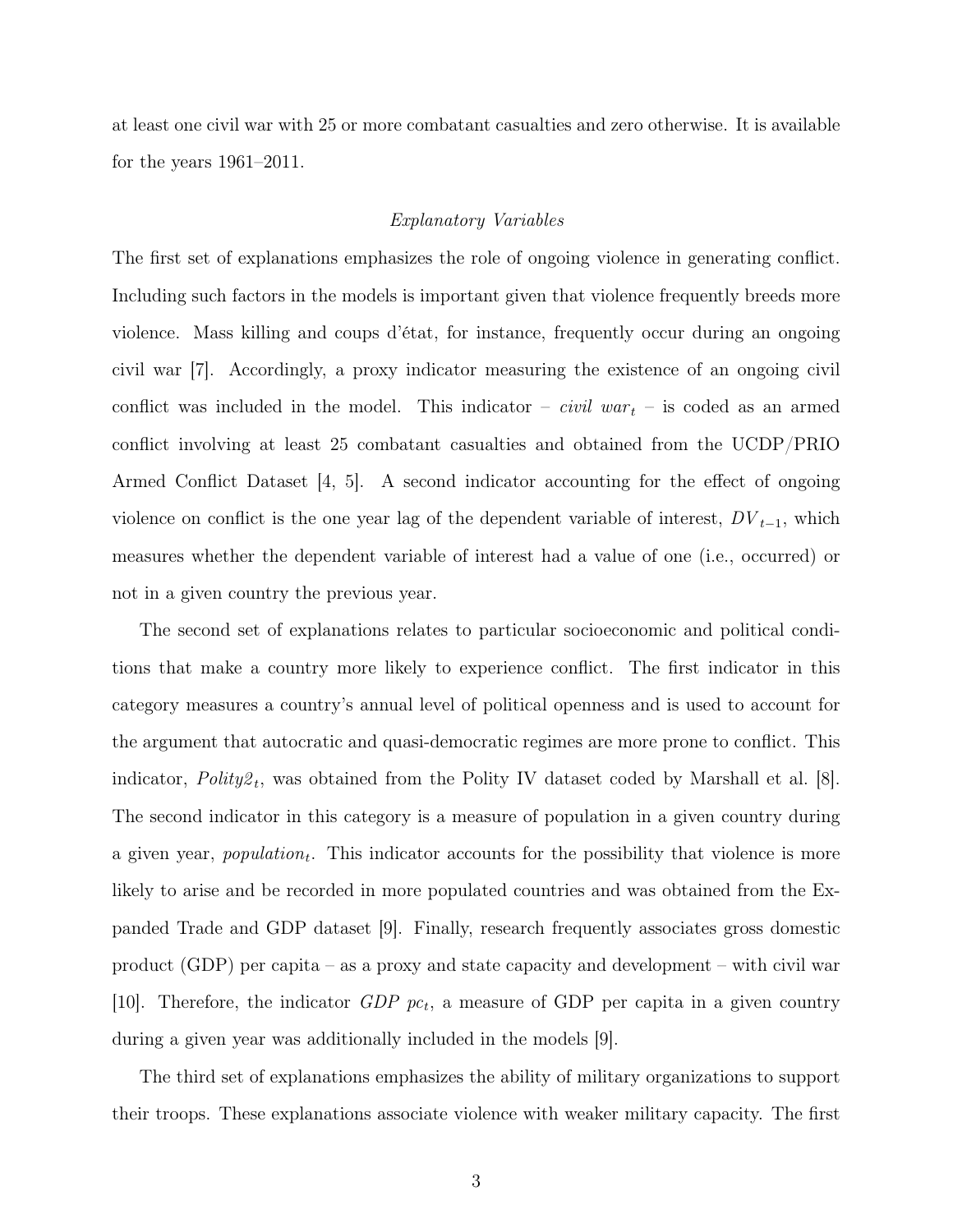at least one civil war with 25 or more combatant casualties and zero otherwise. It is available for the years 1961–2011.

#### Explanatory Variables

The first set of explanations emphasizes the role of ongoing violence in generating conflict. Including such factors in the models is important given that violence frequently breeds more violence. Mass killing and coups d'état, for instance, frequently occur during an ongoing civil war [7]. Accordingly, a proxy indicator measuring the existence of an ongoing civil conflict was included in the model. This indicator – *civil war*  $t$  – is coded as an armed conflict involving at least 25 combatant casualties and obtained from the UCDP/PRIO Armed Conflict Dataset [4, 5]. A second indicator accounting for the effect of ongoing violence on conflict is the one year lag of the dependent variable of interest,  $DV_{t-1}$ , which measures whether the dependent variable of interest had a value of one (i.e., occurred) or not in a given country the previous year.

The second set of explanations relates to particular socioeconomic and political conditions that make a country more likely to experience conflict. The first indicator in this category measures a country's annual level of political openness and is used to account for the argument that autocratic and quasi-democratic regimes are more prone to conflict. This indicator,  $Poly2_t$ , was obtained from the Polity IV dataset coded by Marshall et al. [8]. The second indicator in this category is a measure of population in a given country during a given year, *population*<sub>t</sub>. This indicator accounts for the possibility that violence is more likely to arise and be recorded in more populated countries and was obtained from the Expanded Trade and GDP dataset [9]. Finally, research frequently associates gross domestic product (GDP) per capita – as a proxy and state capacity and development – with civil war [10]. Therefore, the indicator  $GDP$  pc<sub>t</sub>, a measure of GDP per capita in a given country during a given year was additionally included in the models [9].

The third set of explanations emphasizes the ability of military organizations to support their troops. These explanations associate violence with weaker military capacity. The first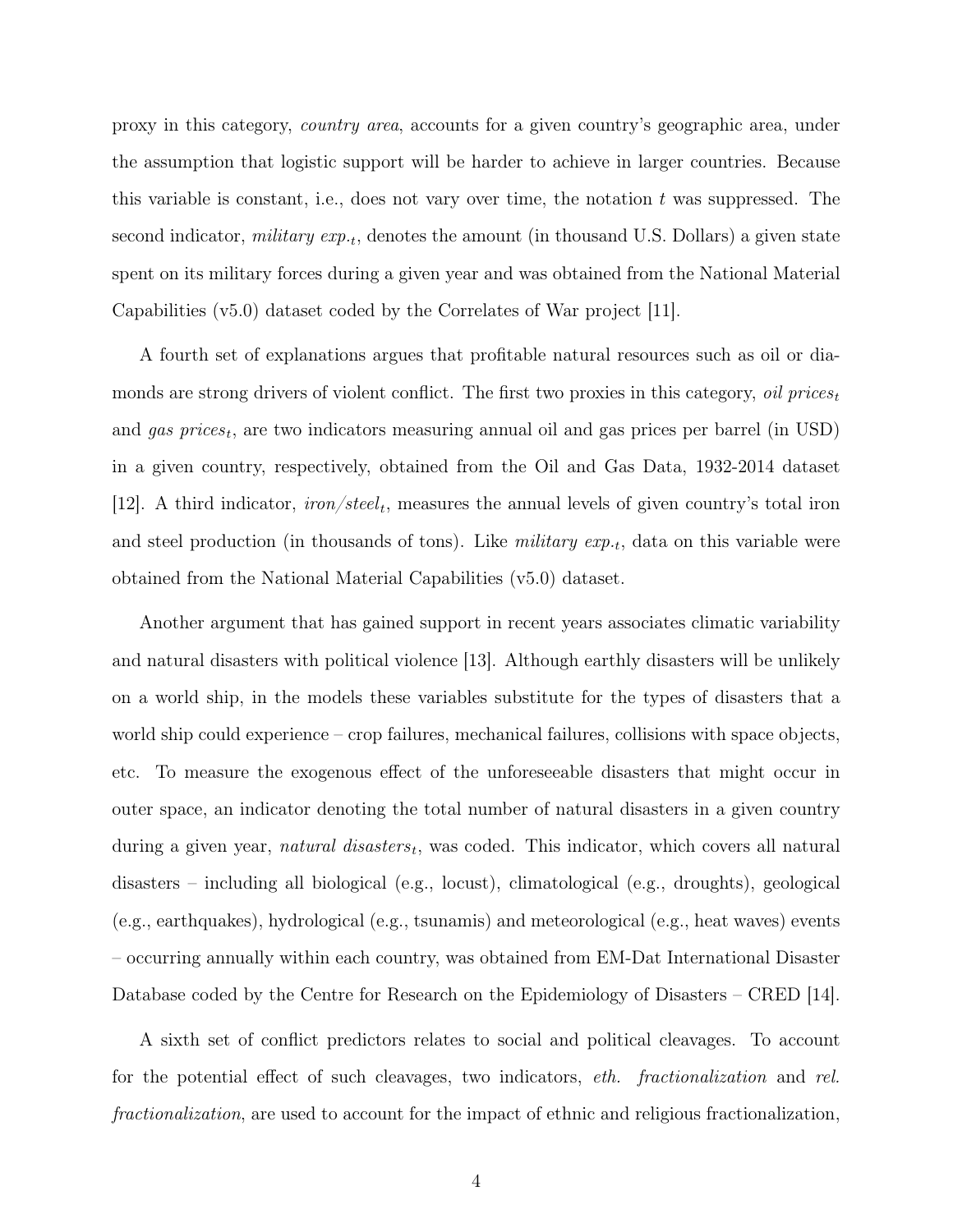proxy in this category, country area, accounts for a given country's geographic area, under the assumption that logistic support will be harder to achieve in larger countries. Because this variable is constant, i.e., does not vary over time, the notation  $t$  was suppressed. The second indicator, *military*  $exp_{\cdot t}$ , denotes the amount (in thousand U.S. Dollars) a given state spent on its military forces during a given year and was obtained from the National Material Capabilities (v5.0) dataset coded by the Correlates of War project [11].

A fourth set of explanations argues that profitable natural resources such as oil or diamonds are strong drivers of violent conflict. The first two proxies in this category, *oil prices* and gas prices<sub>t</sub>, are two indicators measuring annual oil and gas prices per barrel (in USD) in a given country, respectively, obtained from the Oil and Gas Data, 1932-2014 dataset [12]. A third indicator,  $iron/steel_t$ , measures the annual levels of given country's total iron and steel production (in thousands of tons). Like *military*  $exp_{\cdot t}$ , data on this variable were obtained from the National Material Capabilities (v5.0) dataset.

Another argument that has gained support in recent years associates climatic variability and natural disasters with political violence [13]. Although earthly disasters will be unlikely on a world ship, in the models these variables substitute for the types of disasters that a world ship could experience – crop failures, mechanical failures, collisions with space objects, etc. To measure the exogenous effect of the unforeseeable disasters that might occur in outer space, an indicator denoting the total number of natural disasters in a given country during a given year, *natural disasters<sub>t</sub>*, was coded. This indicator, which covers all natural disasters – including all biological (e.g., locust), climatological (e.g., droughts), geological (e.g., earthquakes), hydrological (e.g., tsunamis) and meteorological (e.g., heat waves) events – occurring annually within each country, was obtained from EM-Dat International Disaster Database coded by the Centre for Research on the Epidemiology of Disasters – CRED [14].

A sixth set of conflict predictors relates to social and political cleavages. To account for the potential effect of such cleavages, two indicators, eth. fractionalization and rel. fractionalization, are used to account for the impact of ethnic and religious fractionalization,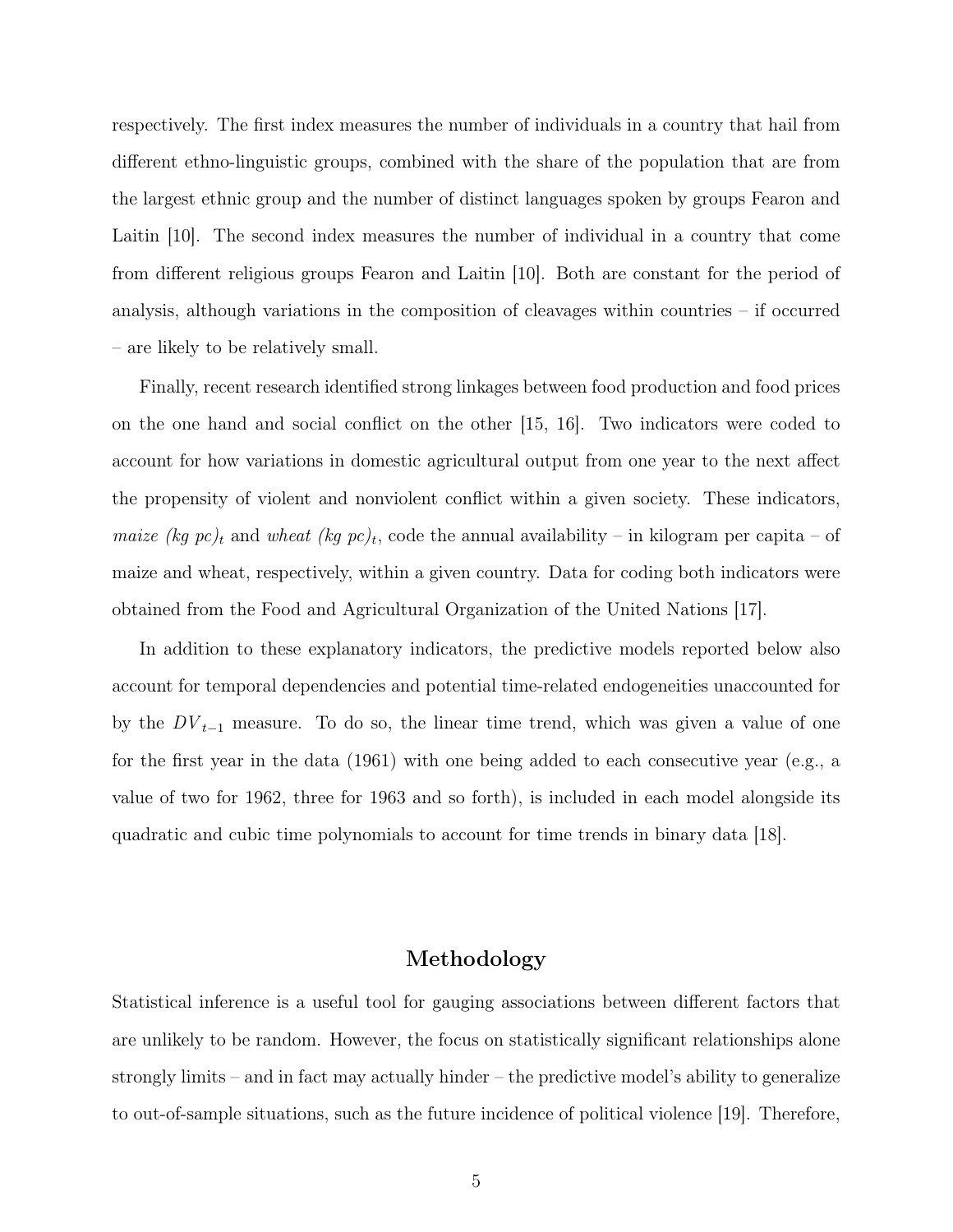respectively. The first index measures the number of individuals in a country that hail from different ethno-linguistic groups, combined with the share of the population that are from the largest ethnic group and the number of distinct languages spoken by groups Fearon and Laitin [10]. The second index measures the number of individual in a country that come from different religious groups Fearon and Laitin [10]. Both are constant for the period of analysis, although variations in the composition of cleavages within countries – if occurred – are likely to be relatively small.

Finally, recent research identified strong linkages between food production and food prices on the one hand and social conflict on the other [15, 16]. Two indicators were coded to account for how variations in domestic agricultural output from one year to the next affect the propensity of violent and nonviolent conflict within a given society. These indicators, *maize (kg pc)<sub>t</sub>* and *wheat (kg pc)<sub>t</sub>*, code the annual availability – in kilogram per capita – of maize and wheat, respectively, within a given country. Data for coding both indicators were obtained from the Food and Agricultural Organization of the United Nations [17].

In addition to these explanatory indicators, the predictive models reported below also account for temporal dependencies and potential time-related endogeneities unaccounted for by the  $DV_{t-1}$  measure. To do so, the linear time trend, which was given a value of one for the first year in the data (1961) with one being added to each consecutive year (e.g., a value of two for 1962, three for 1963 and so forth), is included in each model alongside its quadratic and cubic time polynomials to account for time trends in binary data [18].

## Methodology

Statistical inference is a useful tool for gauging associations between different factors that are unlikely to be random. However, the focus on statistically significant relationships alone strongly limits – and in fact may actually hinder – the predictive model's ability to generalize to out-of-sample situations, such as the future incidence of political violence [19]. Therefore,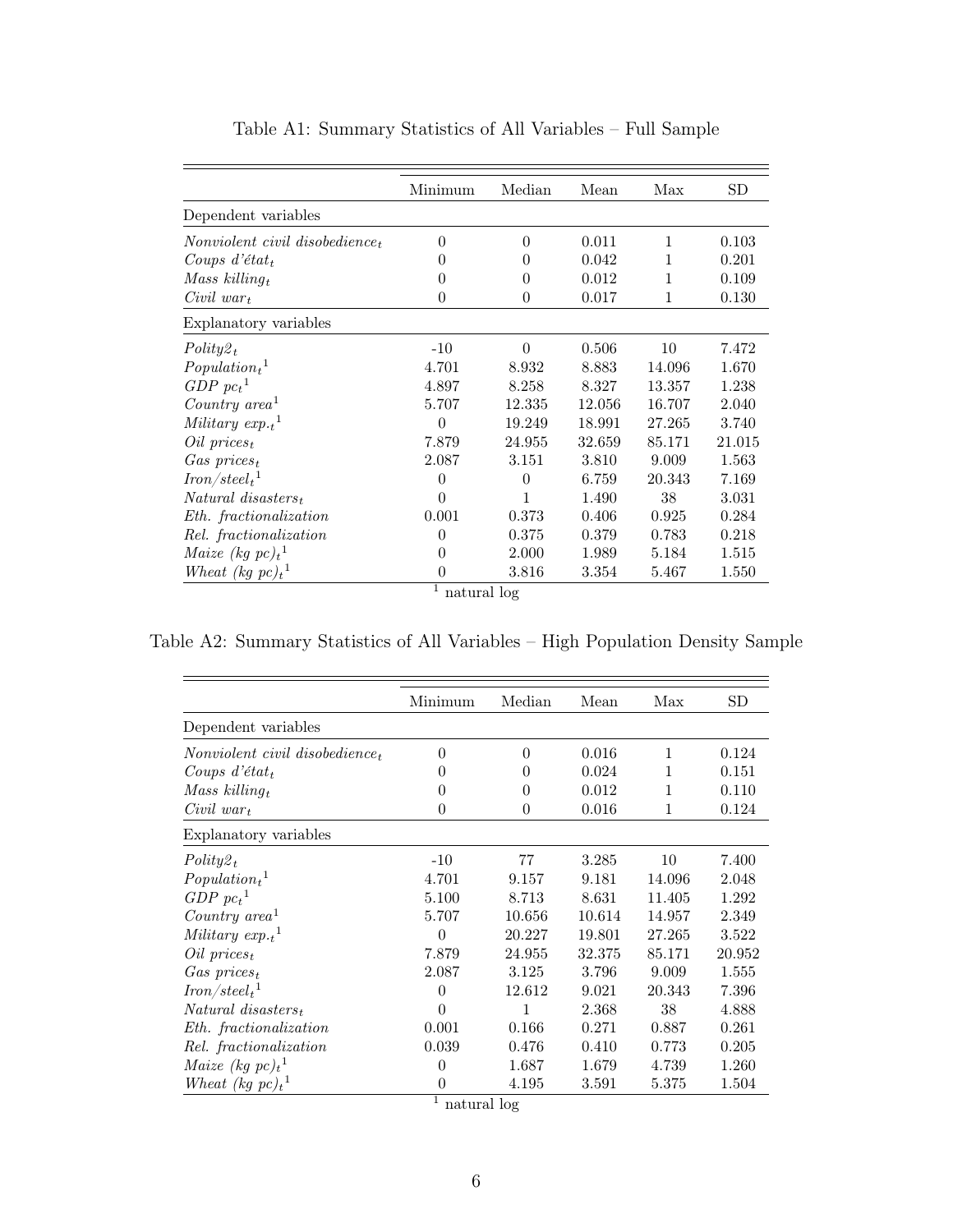|                                      | Minimum  | Median         | Mean   | Max    | SD     |
|--------------------------------------|----------|----------------|--------|--------|--------|
| Dependent variables                  |          |                |        |        |        |
| Nonviolent civil disobedience,       | $\Omega$ | $\Omega$       | 0.011  | 1      | 0.103  |
| Coups $d$ 'état <sub>t</sub>         | 0        | 0              | 0.042  | 1      | 0.201  |
| Mass killing $_t$                    | 0        | 0              | 0.012  | 1      | 0.109  |
| $Civil war_t$                        | $\theta$ | $\overline{0}$ | 0.017  | 1      | 0.130  |
| Explanatory variables                |          |                |        |        |        |
| $Polity2_t$                          | $-10$    | $\theta$       | 0.506  | 10     | 7.472  |
| $Population_t$ <sup>1</sup>          | 4.701    | 8.932          | 8.883  | 14.096 | 1.670  |
| $GDP~pc_t^{-1}$                      | 4.897    | 8.258          | 8.327  | 13.357 | 1.238  |
| Country $area1$                      | 5.707    | 12.335         | 12.056 | 16.707 | 2.040  |
| Military $exp._{t}$ <sup>1</sup>     | $\theta$ | 19.249         | 18.991 | 27.265 | 3.740  |
| $Oil\ prices_t$                      | 7.879    | 24.955         | 32.659 | 85.171 | 21.015 |
| $Gas\ prices_t$                      | 2.087    | 3.151          | 3.810  | 9.009  | 1.563  |
| $\mathit{Iron}/\mathit{steel}_t{}^1$ | $\theta$ | $\theta$       | 6.759  | 20.343 | 7.169  |
| $Natural\; disastrous_t$             | $\theta$ | 1              | 1.490  | 38     | 3.031  |
| Eth. fractionalization               | 0.001    | 0.373          | 0.406  | 0.925  | 0.284  |
| Rel. fractionalization               | $\theta$ | 0.375          | 0.379  | 0.783  | 0.218  |
| Maize (kg $pc)_t$ <sup>1</sup>       | $\Omega$ | 2.000          | 1.989  | 5.184  | 1.515  |
| Wheat (kg $pc)_t$ <sup>1</sup>       | $\theta$ | 3.816          | 3.354  | 5.467  | 1.550  |
| 1<br>natural log                     |          |                |        |        |        |

Table A1: Summary Statistics of All Variables – Full Sample

Table A2: Summary Statistics of All Variables – High Population Density Sample

| $\overline{0}$<br>0<br>$\theta$<br>$\overline{0}$<br>77<br>$-10$<br>4.701<br>9.157<br>5.100<br>8.713 | 0.016<br>0.024<br>0.012<br>0.016<br>3.285<br>9.181<br>8.631 | 1<br>1<br>1<br>1<br>10<br>14.096<br>11.405 | 0.124<br>0.151<br>0.110<br>0.124<br>7.400<br>2.048<br>1.292 |
|------------------------------------------------------------------------------------------------------|-------------------------------------------------------------|--------------------------------------------|-------------------------------------------------------------|
|                                                                                                      |                                                             |                                            |                                                             |
|                                                                                                      |                                                             |                                            |                                                             |
|                                                                                                      |                                                             |                                            |                                                             |
|                                                                                                      |                                                             |                                            |                                                             |
|                                                                                                      |                                                             |                                            |                                                             |
|                                                                                                      |                                                             |                                            |                                                             |
|                                                                                                      |                                                             |                                            |                                                             |
|                                                                                                      |                                                             |                                            |                                                             |
|                                                                                                      |                                                             |                                            |                                                             |
| 5.707<br>10.656                                                                                      | 10.614                                                      | 14.957                                     | 2.349                                                       |
| 20.227                                                                                               | 19.801                                                      | 27.265                                     | 3.522                                                       |
| 7.879<br>24.955                                                                                      | 32.375                                                      | 85.171                                     | 20.952                                                      |
| 2.087<br>3.125                                                                                       | 3.796                                                       | 9.009                                      | 1.555                                                       |
| 12.612                                                                                               | 9.021                                                       | 20.343                                     | 7.396                                                       |
| 1                                                                                                    | 2.368                                                       | 38                                         | 4.888                                                       |
|                                                                                                      | 0.271                                                       | 0.887                                      | 0.261                                                       |
|                                                                                                      | 0.410                                                       | 0.773                                      | 0.205                                                       |
|                                                                                                      | 1.679                                                       | 4.739                                      | 1.260                                                       |
|                                                                                                      | 3.591                                                       | 5.375                                      | 1.504                                                       |
| $\theta$<br>$\Omega$<br>$\Omega$                                                                     | 0.001<br>0.039<br>$\theta$                                  | 0.166<br>0.476<br>1.687<br>4.195           | natural log                                                 |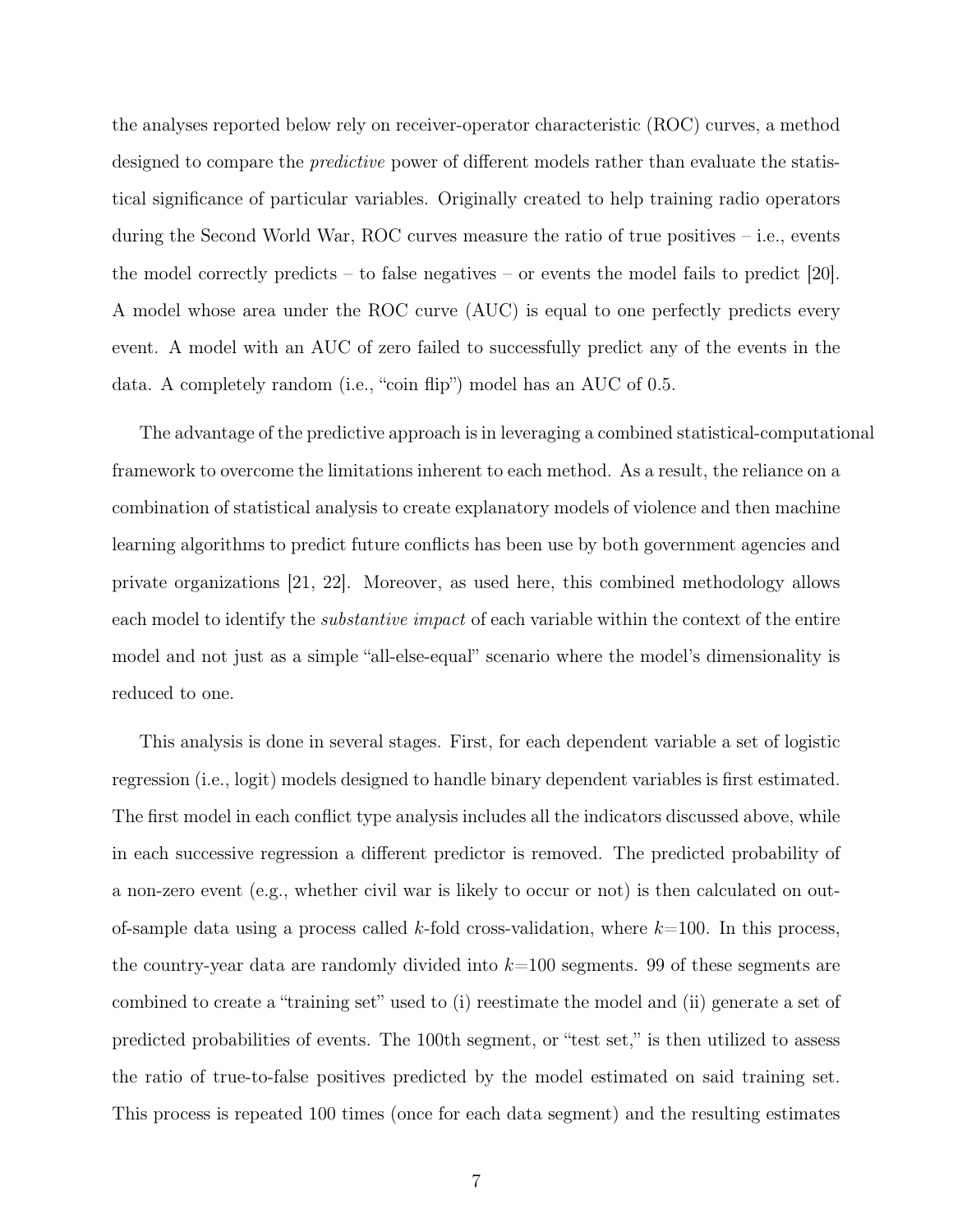the analyses reported below rely on receiver-operator characteristic (ROC) curves, a method designed to compare the predictive power of different models rather than evaluate the statistical significance of particular variables. Originally created to help training radio operators during the Second World War, ROC curves measure the ratio of true positives – i.e., events the model correctly predicts – to false negatives – or events the model fails to predict [20]. A model whose area under the ROC curve (AUC) is equal to one perfectly predicts every event. A model with an AUC of zero failed to successfully predict any of the events in the data. A completely random (i.e., "coin flip") model has an AUC of 0.5.

The advantage of the predictive approach is in leveraging a combined statistical-computational framework to overcome the limitations inherent to each method. As a result, the reliance on a combination of statistical analysis to create explanatory models of violence and then machine learning algorithms to predict future conflicts has been use by both government agencies and private organizations [21, 22]. Moreover, as used here, this combined methodology allows each model to identify the *substantive impact* of each variable within the context of the entire model and not just as a simple "all-else-equal" scenario where the model's dimensionality is reduced to one.

This analysis is done in several stages. First, for each dependent variable a set of logistic regression (i.e., logit) models designed to handle binary dependent variables is first estimated. The first model in each conflict type analysis includes all the indicators discussed above, while in each successive regression a different predictor is removed. The predicted probability of a non-zero event (e.g., whether civil war is likely to occur or not) is then calculated on outof-sample data using a process called k-fold cross-validation, where  $k=100$ . In this process, the country-year data are randomly divided into  $k=100$  segments. 99 of these segments are combined to create a "training set" used to (i) reestimate the model and (ii) generate a set of predicted probabilities of events. The 100th segment, or "test set," is then utilized to assess the ratio of true-to-false positives predicted by the model estimated on said training set. This process is repeated 100 times (once for each data segment) and the resulting estimates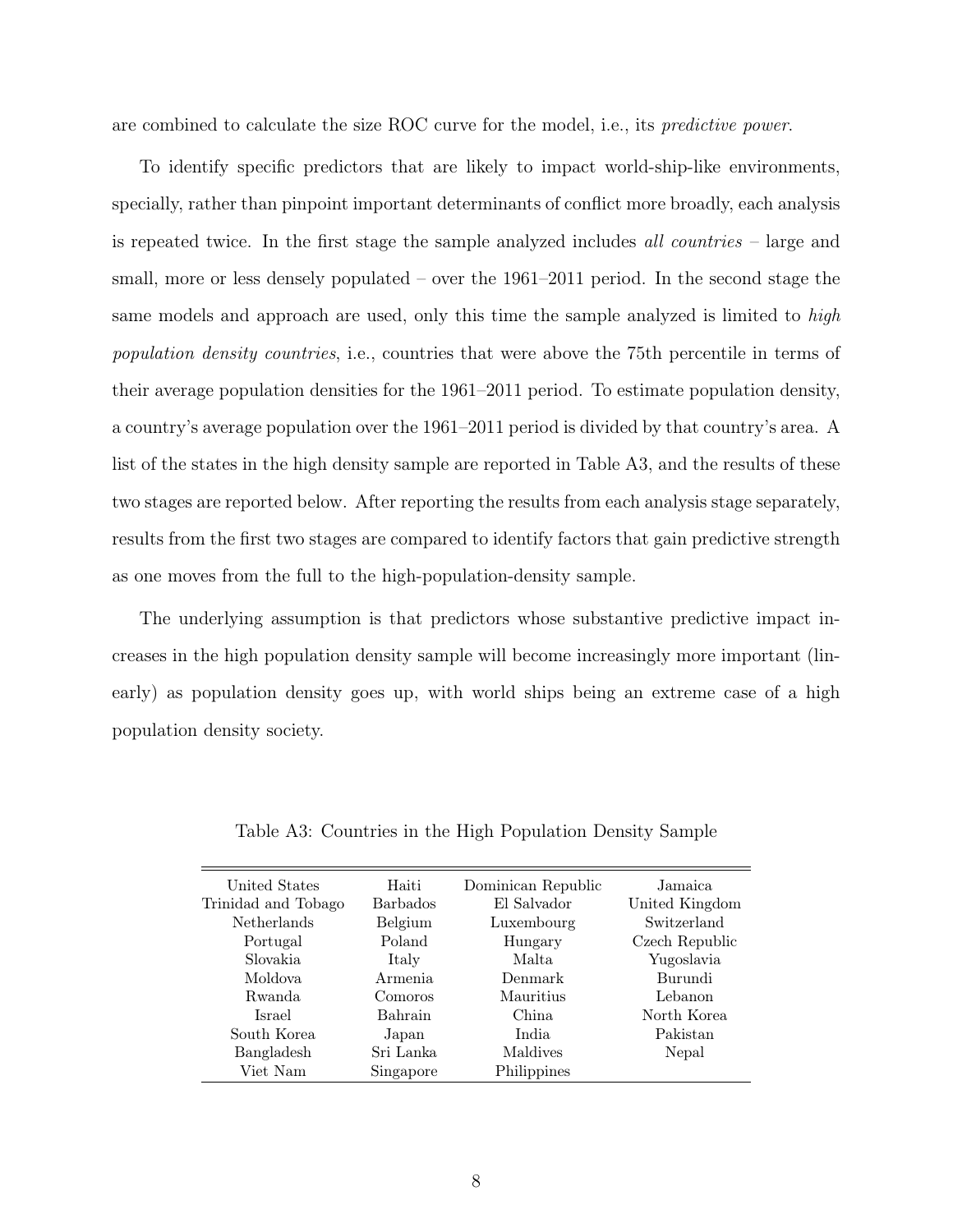are combined to calculate the size ROC curve for the model, i.e., its predictive power.

To identify specific predictors that are likely to impact world-ship-like environments, specially, rather than pinpoint important determinants of conflict more broadly, each analysis is repeated twice. In the first stage the sample analyzed includes *all countries*  $-$  large and small, more or less densely populated – over the 1961–2011 period. In the second stage the same models and approach are used, only this time the sample analyzed is limited to high population density countries, i.e., countries that were above the 75th percentile in terms of their average population densities for the 1961–2011 period. To estimate population density, a country's average population over the 1961–2011 period is divided by that country's area. A list of the states in the high density sample are reported in Table A3, and the results of these two stages are reported below. After reporting the results from each analysis stage separately, results from the first two stages are compared to identify factors that gain predictive strength as one moves from the full to the high-population-density sample.

The underlying assumption is that predictors whose substantive predictive impact increases in the high population density sample will become increasingly more important (linearly) as population density goes up, with world ships being an extreme case of a high population density society.

| United States       | Haiti           | Dominican Republic | Jamaica        |
|---------------------|-----------------|--------------------|----------------|
| Trinidad and Tobago | <b>Barbados</b> | El Salvador        | United Kingdom |
| Netherlands         | Belgium         | Luxembourg         | Switzerland    |
| Portugal            | Poland          | Hungary            | Czech Republic |
| Slovakia            | Italy           | Malta.             | Yugoslavia     |
| Moldova             | Armenia         | Denmark            | Burundi        |
| Rwanda              | Comoros         | Mauritius          | Lebanon        |
| Israel              | Bahrain         | China              | North Korea    |
| South Korea         | Japan           | India              | Pakistan       |
| Bangladesh          | Sri Lanka       | Maldives           | Nepal          |
| Viet Nam            | Singapore       | Philippines        |                |
|                     |                 |                    |                |

Table A3: Countries in the High Population Density Sample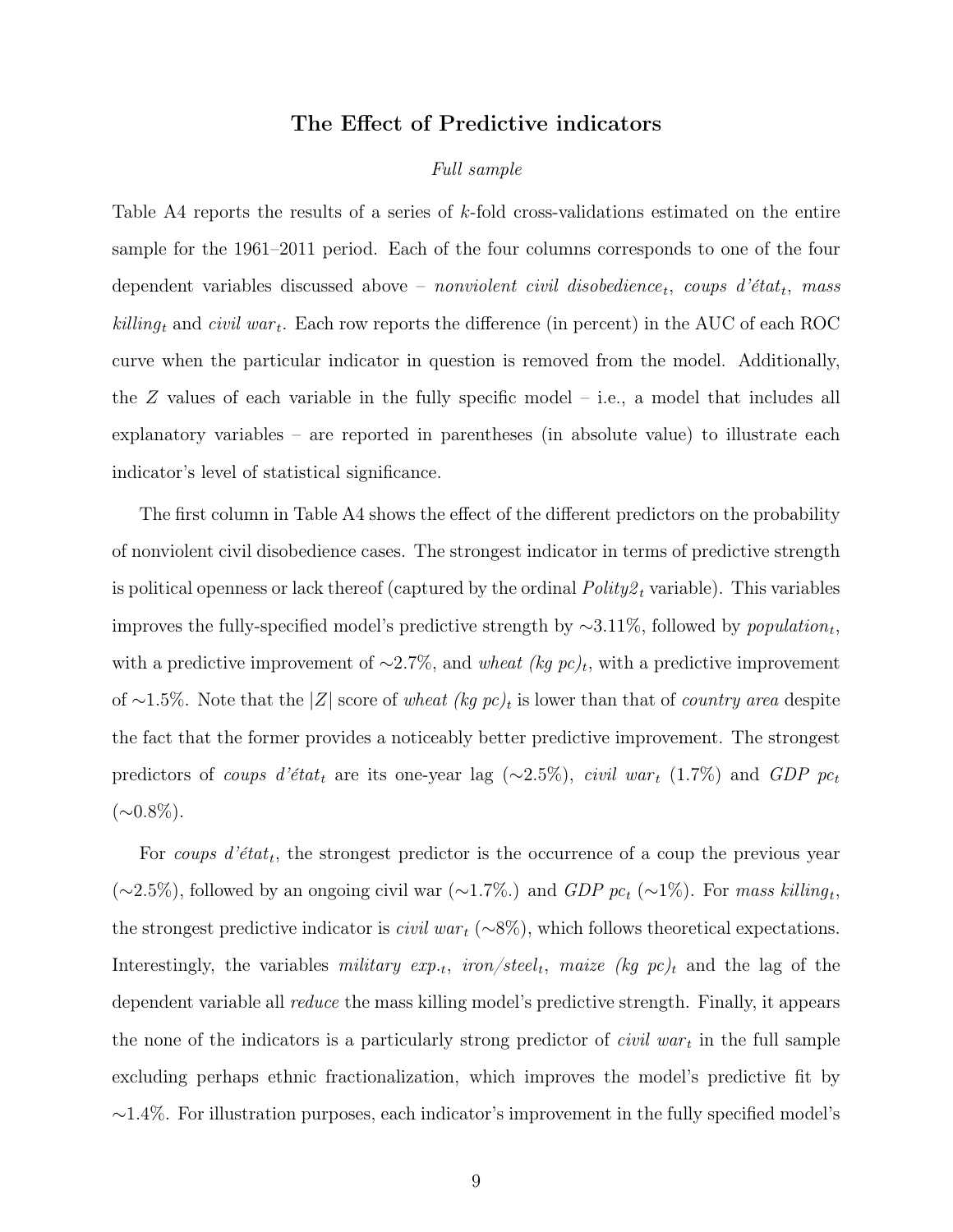# The Effect of Predictive indicators

#### Full sample

Table A4 reports the results of a series of k-fold cross-validations estimated on the entire sample for the 1961–2011 period. Each of the four columns corresponds to one of the four dependent variables discussed above – nonviolent civil disobedience<sub>t</sub>, coups d'état<sub>t</sub>, mass  $killing_t$  and civil war<sub>t</sub>. Each row reports the difference (in percent) in the AUC of each ROC curve when the particular indicator in question is removed from the model. Additionally, the  $Z$  values of each variable in the fully specific model  $-$  i.e., a model that includes all explanatory variables – are reported in parentheses (in absolute value) to illustrate each indicator's level of statistical significance.

The first column in Table A4 shows the effect of the different predictors on the probability of nonviolent civil disobedience cases. The strongest indicator in terms of predictive strength is political openness or lack thereof (captured by the ordinal  $Polityz_t$  variable). This variables improves the fully-specified model's predictive strength by  $\sim 3.11\%$ , followed by *population<sub>t</sub>*, with a predictive improvement of  $\sim$ 2.7%, and wheat (kg pc)<sub>t</sub>, with a predictive improvement of ~1.5%. Note that the |Z| score of wheat (kg pc)<sub>t</sub> is lower than that of *country area* despite the fact that the former provides a noticeably better predictive improvement. The strongest predictors of coups d'état<sub>t</sub> are its one-year lag (∼2.5%), civil war<sub>t</sub> (1.7%) and GDP pc<sub>t</sub>  $(\sim 0.8\%).$ 

For coups  $d'etat_t$ , the strongest predictor is the occurrence of a coup the previous year  $(\sim 2.5\%)$ , followed by an ongoing civil war  $(\sim 1.7\%)$  and  $GDP$  pc<sub>t</sub>  $(\sim 1\%)$ . For mass killing<sub>t</sub>, the strongest predictive indicator is *civil war*  $(\sim 8\%)$ , which follows theoretical expectations. Interestingly, the variables *military exp.<sub>t</sub>*, *iron/steel<sub>t</sub>*, *maize* (*kg pc*)<sub>t</sub> and the lag of the dependent variable all reduce the mass killing model's predictive strength. Finally, it appears the none of the indicators is a particularly strong predictor of *civil war<sub>t</sub>* in the full sample excluding perhaps ethnic fractionalization, which improves the model's predictive fit by  $\sim$ 1.4%. For illustration purposes, each indicator's improvement in the fully specified model's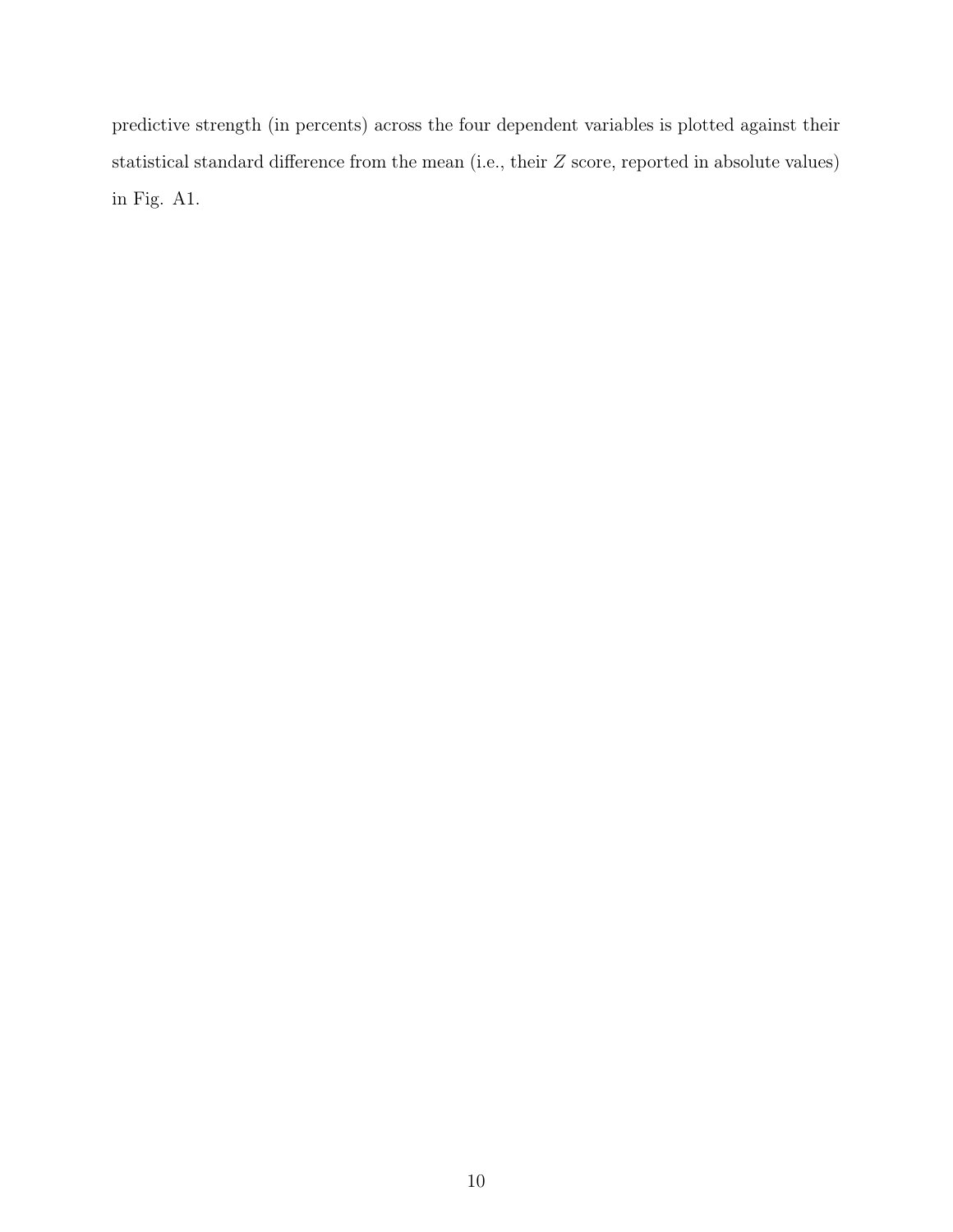predictive strength (in percents) across the four dependent variables is plotted against their statistical standard difference from the mean (i.e., their Z score, reported in absolute values) in Fig. A1.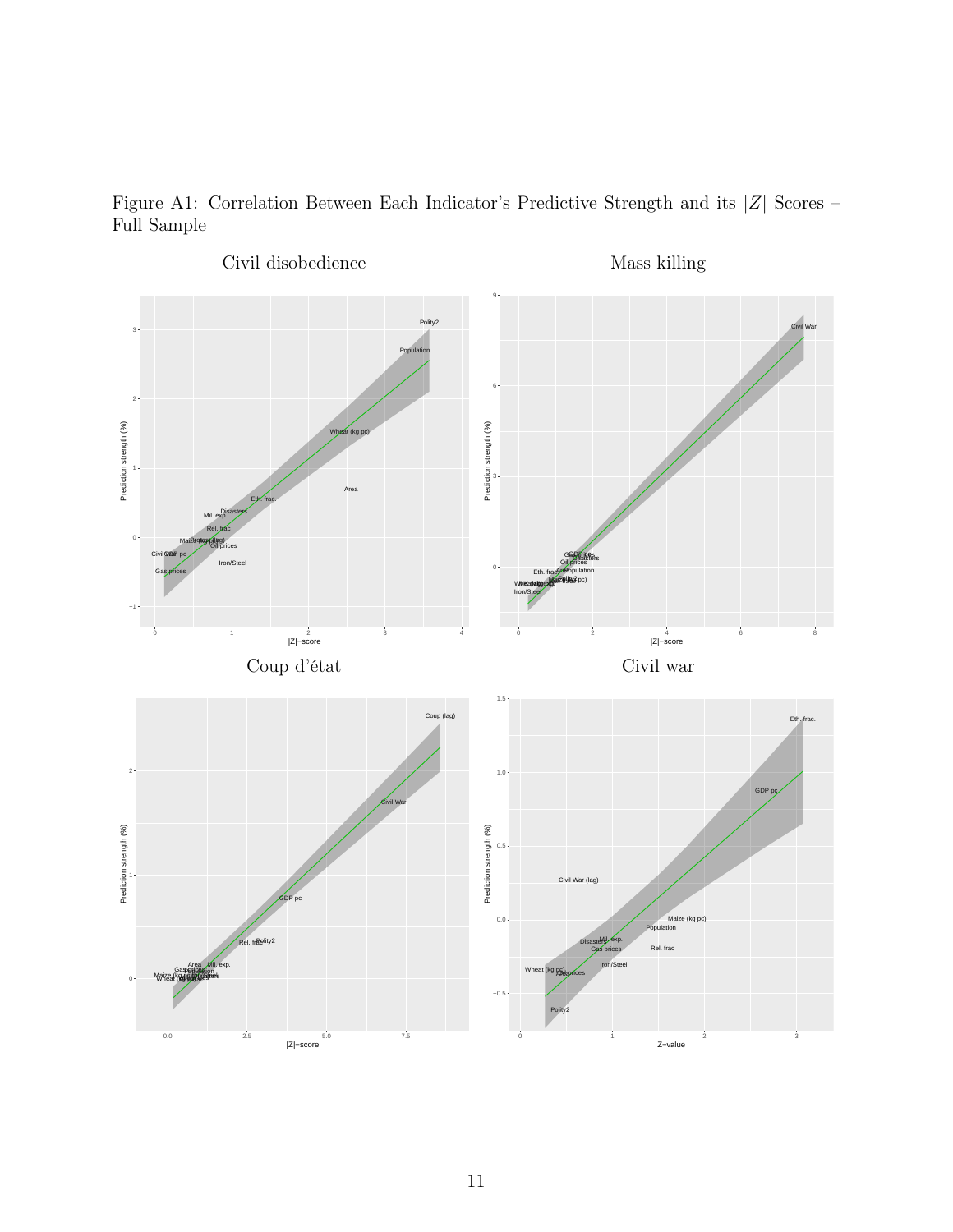

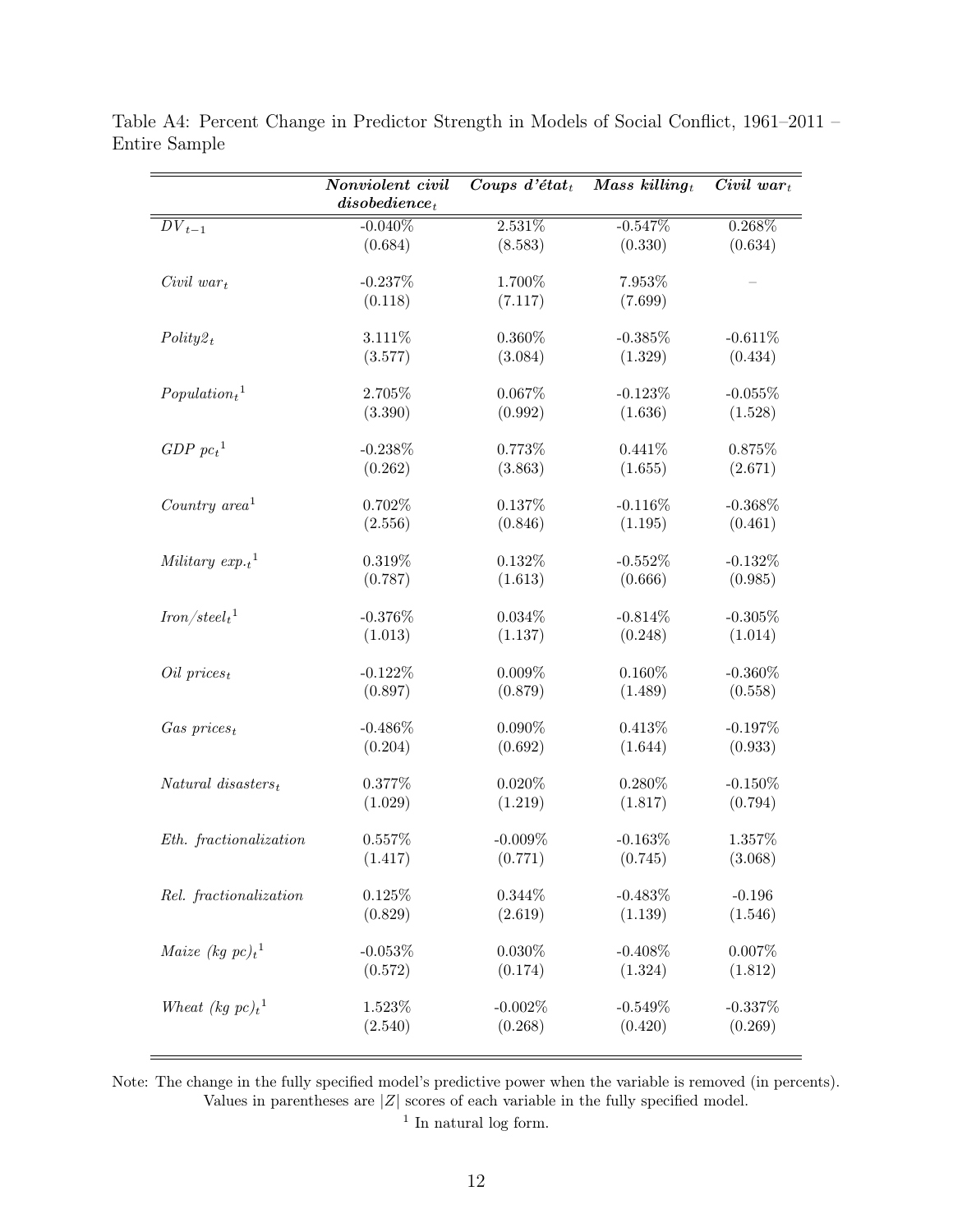|                                  | Nonviolent civil        | Coups $d$ 'état <sub>t</sub> | Mass killing $_t$ | $Civil \ war_t$   |
|----------------------------------|-------------------------|------------------------------|-------------------|-------------------|
|                                  | $\emph{disobedience}_t$ |                              |                   |                   |
| $DV_{t-1}$                       | $-0.040\%$              | 2.531%                       | $-0.547%$         | $0.268\%$         |
|                                  | (0.684)                 | (8.583)                      | (0.330)           | (0.634)           |
| $Civil war_t$                    | $-0.237%$               | 1.700%                       | 7.953%            |                   |
|                                  | (0.118)                 | (7.117)                      | (7.699)           |                   |
|                                  |                         |                              |                   |                   |
| $Polity2_t$                      | 3.111%                  | $0.360\%$                    | $-0.385%$         | $-0.611%$         |
|                                  | (3.577)                 | (3.084)                      | (1.329)           | (0.434)           |
|                                  |                         |                              |                   |                   |
| $Population_t$ <sup>1</sup>      | 2.705%                  | $0.067\%$                    | $-0.123%$         | $-0.055%$         |
|                                  | (3.390)                 | (0.992)                      | (1.636)           | (1.528)           |
| GDP~pc <sub>t</sub> <sup>1</sup> | $-0.238%$               | 0.773%                       | 0.441%            | 0.875%            |
|                                  | (0.262)                 | (3.863)                      | (1.655)           | (2.671)           |
|                                  |                         |                              |                   |                   |
| Country $area1$                  | 0.702%                  | 0.137%                       | $-0.116%$         | $-0.368\%$        |
|                                  | (2.556)                 | (0.846)                      | (1.195)           | (0.461)           |
| Military $exp.t$ <sup>1</sup>    | 0.319%                  | 0.132%                       | $-0.552%$         | $-0.132\%$        |
|                                  | (0.787)                 | (1.613)                      | (0.666)           | (0.985)           |
|                                  |                         |                              |                   |                   |
| $Iron/steel_t^1$                 | $-0.376\%$              | 0.034%                       | $-0.814\%$        | $-0.305%$         |
|                                  | (1.013)                 | (1.137)                      | (0.248)           | (1.014)           |
|                                  |                         |                              |                   |                   |
| $Oil\ prices_t$                  | $-0.122\%$              | $0.009\%$                    | $0.160\%$         | $-0.360\%$        |
|                                  | (0.897)                 | (0.879)                      | (1.489)           | (0.558)           |
| $Gas\ prices_t$                  | $-0.486\%$              | $0.090\%$                    | 0.413%            | $-0.197%$         |
|                                  | (0.204)                 | (0.692)                      | (1.644)           | (0.933)           |
|                                  |                         |                              |                   |                   |
| $Natural\;disssters_t$           | 0.377%                  | $0.020\%$                    | 0.280%            | $-0.150%$         |
|                                  | (1.029)                 | (1.219)                      | (1.817)           | (0.794)           |
| Eth. fractionalization           | 0.557%                  | $-0.009%$                    | $-0.163%$         | 1.357%            |
|                                  | (1.417)                 | (0.771)                      | (0.745)           | (3.068)           |
|                                  |                         |                              |                   |                   |
| Rel. fractionalization           | $0.125\%$               | 0.344%                       | $-0.483%$         | $-0.196$          |
|                                  | (0.829)                 | (2.619)                      | (1.139)           | (1.546)           |
|                                  |                         |                              | $-0.408\%$        |                   |
| <i>Maize</i> (kg $pc)_t^1$       | $-0.053\%$<br>(0.572)   | $0.030\%$<br>(0.174)         | (1.324)           | 0.007%<br>(1.812) |
|                                  |                         |                              |                   |                   |
| Wheat (kg $pc)_t^1$              | 1.523%                  | $-0.002\%$                   | $-0.549%$         | $-0.337%$         |
|                                  | (2.540)                 | (0.268)                      | (0.420)           | (0.269)           |
|                                  |                         |                              |                   |                   |

Table A4: Percent Change in Predictor Strength in Models of Social Conflict, 1961–2011 – Entire Sample

Note: The change in the fully specified model's predictive power when the variable is removed (in percents). Values in parentheses are  $|Z|$  scores of each variable in the fully specified model.

<sup>1</sup> In natural log form.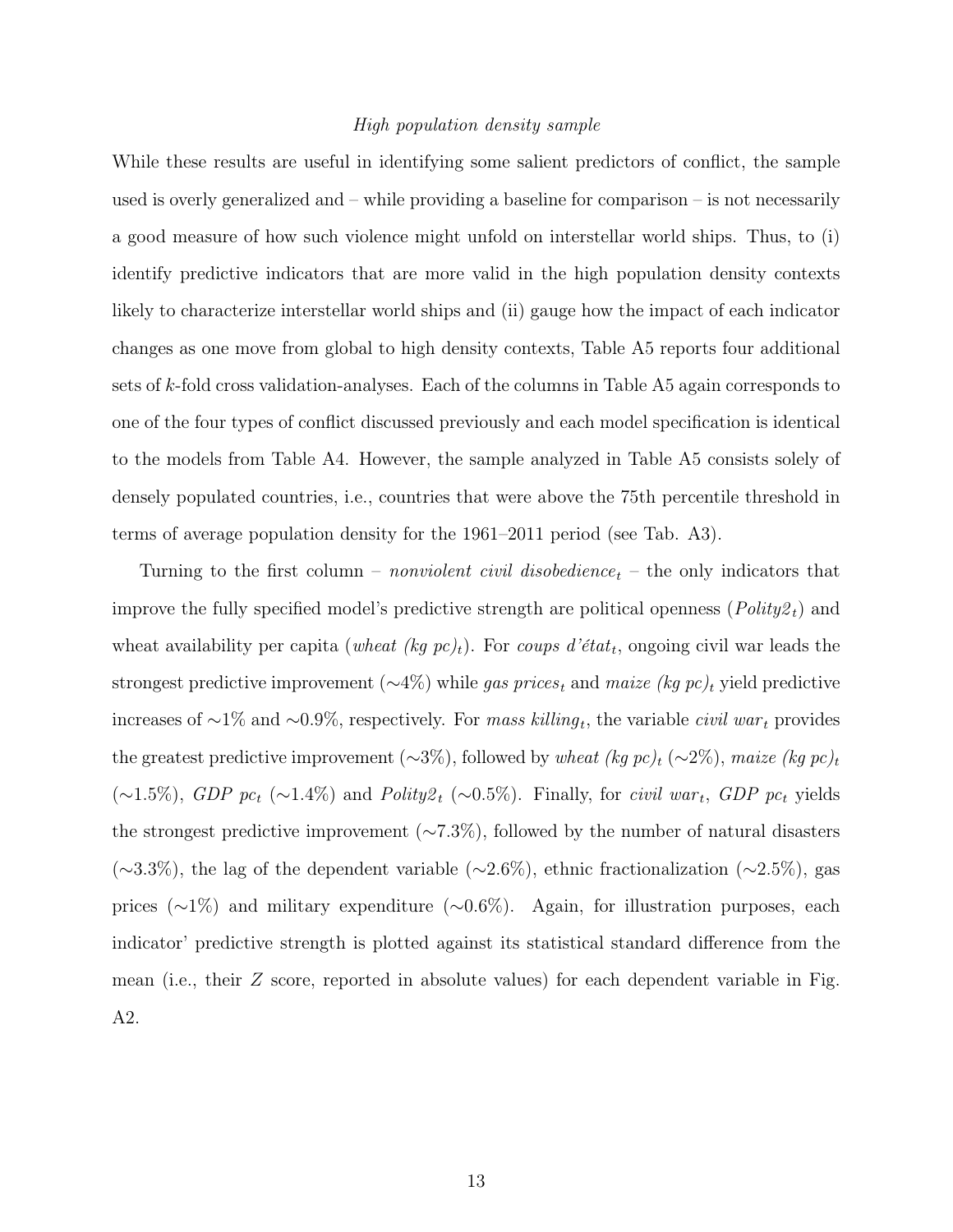#### High population density sample

While these results are useful in identifying some salient predictors of conflict, the sample used is overly generalized and – while providing a baseline for comparison – is not necessarily a good measure of how such violence might unfold on interstellar world ships. Thus, to (i) identify predictive indicators that are more valid in the high population density contexts likely to characterize interstellar world ships and (ii) gauge how the impact of each indicator changes as one move from global to high density contexts, Table A5 reports four additional sets of k-fold cross validation-analyses. Each of the columns in Table A5 again corresponds to one of the four types of conflict discussed previously and each model specification is identical to the models from Table A4. However, the sample analyzed in Table A5 consists solely of densely populated countries, i.e., countries that were above the 75th percentile threshold in terms of average population density for the 1961–2011 period (see Tab. A3).

Turning to the first column – *nonviolent civil disobedience<sub>t</sub>* – the only indicators that improve the fully specified model's predictive strength are political openness  $(Polity2<sub>t</sub>)$  and wheat availability per capita (*wheat (kg pc)<sub>t</sub>*). For *coups d'état<sub>t</sub>*, ongoing civil war leads the strongest predictive improvement ( $\sim$ 4%) while gas prices<sub>t</sub> and maize (kg pc)<sub>t</sub> yield predictive increases of ~1% and ~0.9%, respectively. For mass killing<sub>t</sub>, the variable *civil war*<sub>t</sub> provides the greatest predictive improvement (∼3%), followed by wheat (kg pc)<sub>t</sub> (∼2%), maize (kg pc)<sub>t</sub>  $(\sim 1.5\%)$ , GDP pc<sub>t</sub>  $(\sim 1.4\%)$  and Polity $\mathcal{Z}_t$  ( $\sim 0.5\%$ ). Finally, for *civil war<sub>t</sub>*, GDP pc<sub>t</sub> yields the strongest predictive improvement  $(\sim 7.3\%)$ , followed by the number of natural disasters  $(\sim 3.3\%)$ , the lag of the dependent variable  $(\sim 2.6\%)$ , ethnic fractionalization  $(\sim 2.5\%)$ , gas prices (∼1%) and military expenditure (∼0.6%). Again, for illustration purposes, each indicator' predictive strength is plotted against its statistical standard difference from the mean (i.e., their Z score, reported in absolute values) for each dependent variable in Fig. A2.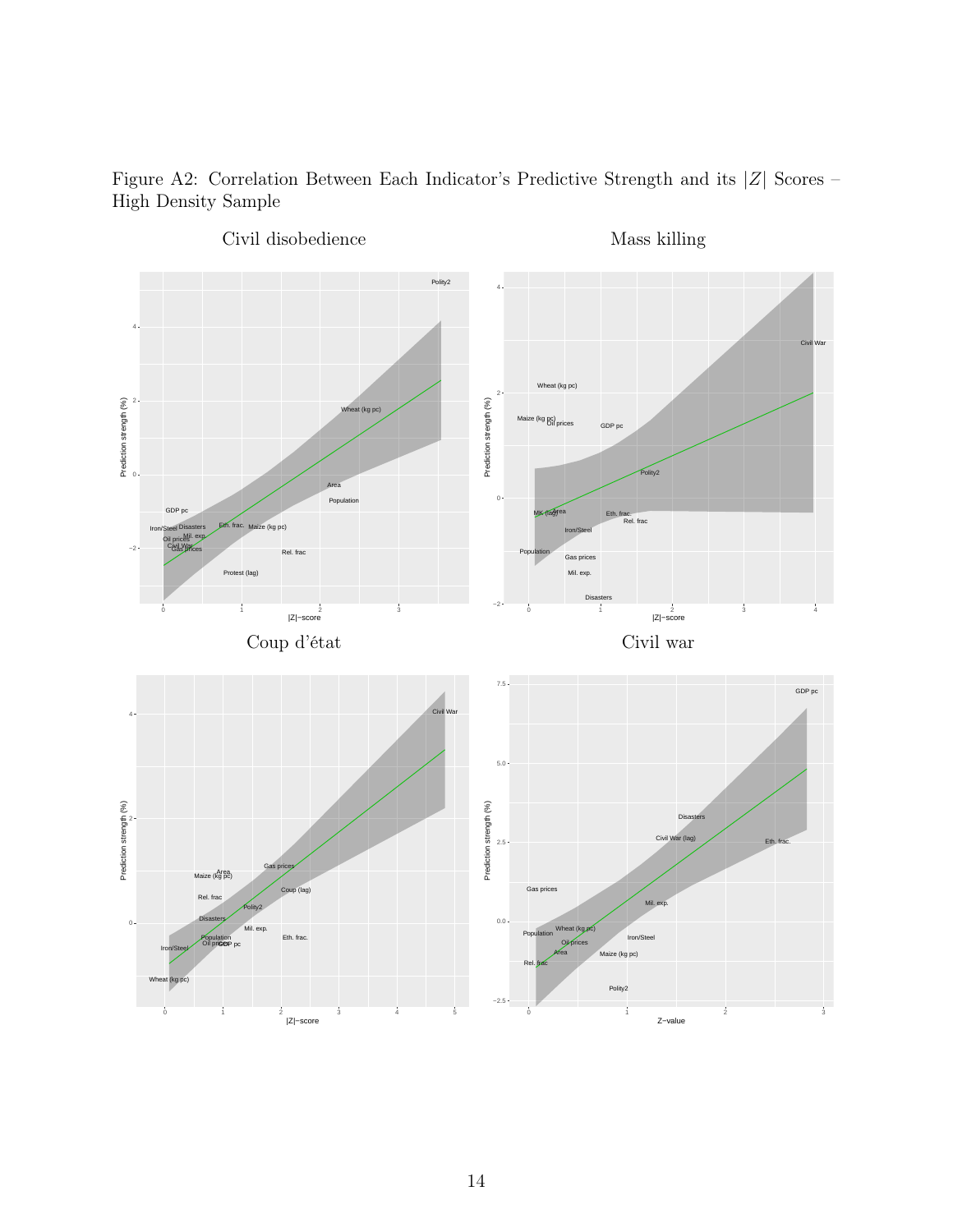Figure A2: Correlation Between Each Indicator's Predictive Strength and its |Z| Scores – High Density Sample

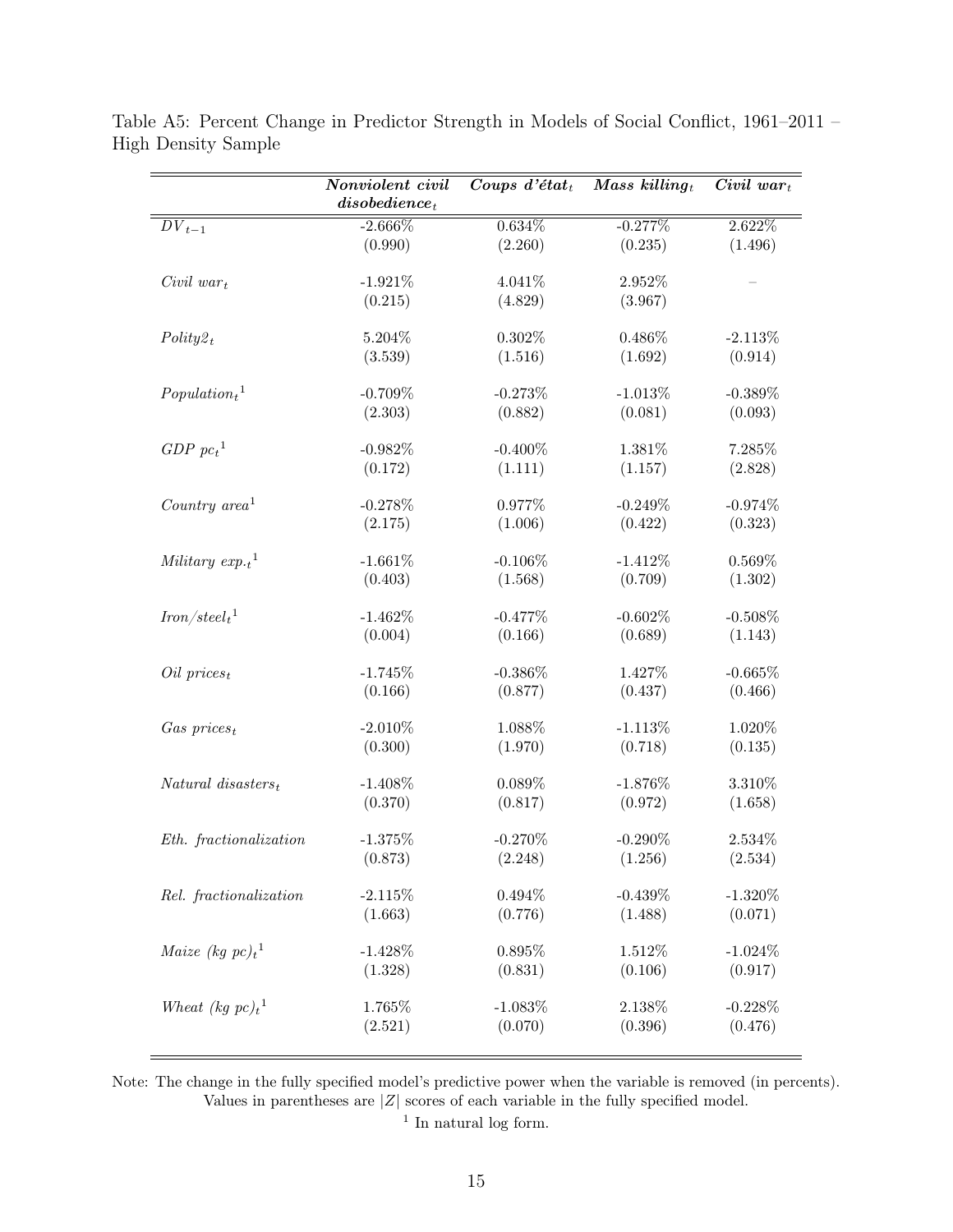|                                  | Nonviolent civil        | Coups $d$ 'état <sub>t</sub> | Mass killing $_t$ | $\overline{Civil}$ war <sub>t</sub> |
|----------------------------------|-------------------------|------------------------------|-------------------|-------------------------------------|
|                                  | $\emph{disobedience}_t$ |                              |                   |                                     |
| $DV_{t-1}$                       | $-2.666\%$              | $0.634\%$                    | $-0.277%$         | 2.622%                              |
|                                  | (0.990)                 | (2.260)                      | (0.235)           | (1.496)                             |
| $Civil war_t$                    | $-1.921%$               | 4.041%                       | 2.952%            |                                     |
|                                  | (0.215)                 | (4.829)                      | (3.967)           |                                     |
|                                  |                         |                              |                   |                                     |
| $Polity2_t$                      | 5.204%                  | $0.302\%$                    | 0.486%            | $-2.113%$                           |
|                                  | (3.539)                 | (1.516)                      | (1.692)           | (0.914)                             |
|                                  |                         |                              |                   |                                     |
| $Population_t$ <sup>1</sup>      | $-0.709%$               | $-0.273%$                    | $-1.013%$         | $-0.389%$                           |
|                                  | (2.303)                 | (0.882)                      | (0.081)           | (0.093)                             |
| GDP~pc <sub>t</sub> <sup>1</sup> | $-0.982%$               | $-0.400\%$                   | 1.381%            | 7.285%                              |
|                                  | (0.172)                 | (1.111)                      | (1.157)           | (2.828)                             |
|                                  |                         |                              |                   |                                     |
| Country $area1$                  | $-0.278%$               | 0.977%                       | $-0.249%$         | $-0.974%$                           |
|                                  | (2.175)                 | (1.006)                      | (0.422)           | (0.323)                             |
|                                  |                         |                              |                   |                                     |
| Military $exp.t$ <sup>1</sup>    | $-1.661%$               | $-0.106%$                    | $-1.412%$         | 0.569%                              |
|                                  | (0.403)                 | (1.568)                      | (0.709)           | (1.302)                             |
| $Iron/steel_t^1$                 | $-1.462\%$              | $-0.477%$                    | $-0.602%$         | $-0.508%$                           |
|                                  | (0.004)                 | (0.166)                      | (0.689)           | (1.143)                             |
|                                  |                         |                              |                   |                                     |
| $Oil\ prices_t$                  | $-1.745%$               | $-0.386\%$                   | 1.427%            | $-0.665%$                           |
|                                  | (0.166)                 | (0.877)                      | (0.437)           | (0.466)                             |
|                                  | $-2.010\%$              | 1.088%                       | $-1.113%$         | 1.020%                              |
| $Gas\ prices_t$                  | (0.300)                 | (1.970)                      | (0.718)           | (0.135)                             |
|                                  |                         |                              |                   |                                     |
| $Natural\;disssters_t$           | $-1.408\%$              | 0.089%                       | $-1.876\%$        | 3.310%                              |
|                                  | (0.370)                 | (0.817)                      | (0.972)           | (1.658)                             |
|                                  |                         |                              |                   |                                     |
| Eth. fractionalization           | $-1.375%$               | $-0.270%$                    | $-0.290\%$        | 2.534\%                             |
|                                  | (0.873)                 | (2.248)                      | (1.256)           | (2.534)                             |
| Rel. fractionalization           | $-2.115\%$              | $0.494\%$                    | $-0.439%$         | $-1.320\%$                          |
|                                  | (1.663)                 | (0.776)                      | (1.488)           | (0.071)                             |
|                                  |                         |                              |                   |                                     |
| <i>Maize</i> (kg $pc)_t^1$       | $-1.428%$               | 0.895%                       | $1.512\%$         | $-1.024\%$                          |
|                                  | (1.328)                 | (0.831)                      | (0.106)           | (0.917)                             |
|                                  |                         |                              |                   |                                     |
| Wheat (kg $pc)_t^1$              | 1.765%                  | $-1.083\%$                   | 2.138\%           | $-0.228%$                           |
|                                  | (2.521)                 | (0.070)                      | (0.396)           | (0.476)                             |
|                                  |                         |                              |                   |                                     |

Table A5: Percent Change in Predictor Strength in Models of Social Conflict, 1961–2011 – High Density Sample

Note: The change in the fully specified model's predictive power when the variable is removed (in percents). Values in parentheses are  $|Z|$  scores of each variable in the fully specified model.

<sup>1</sup> In natural log form.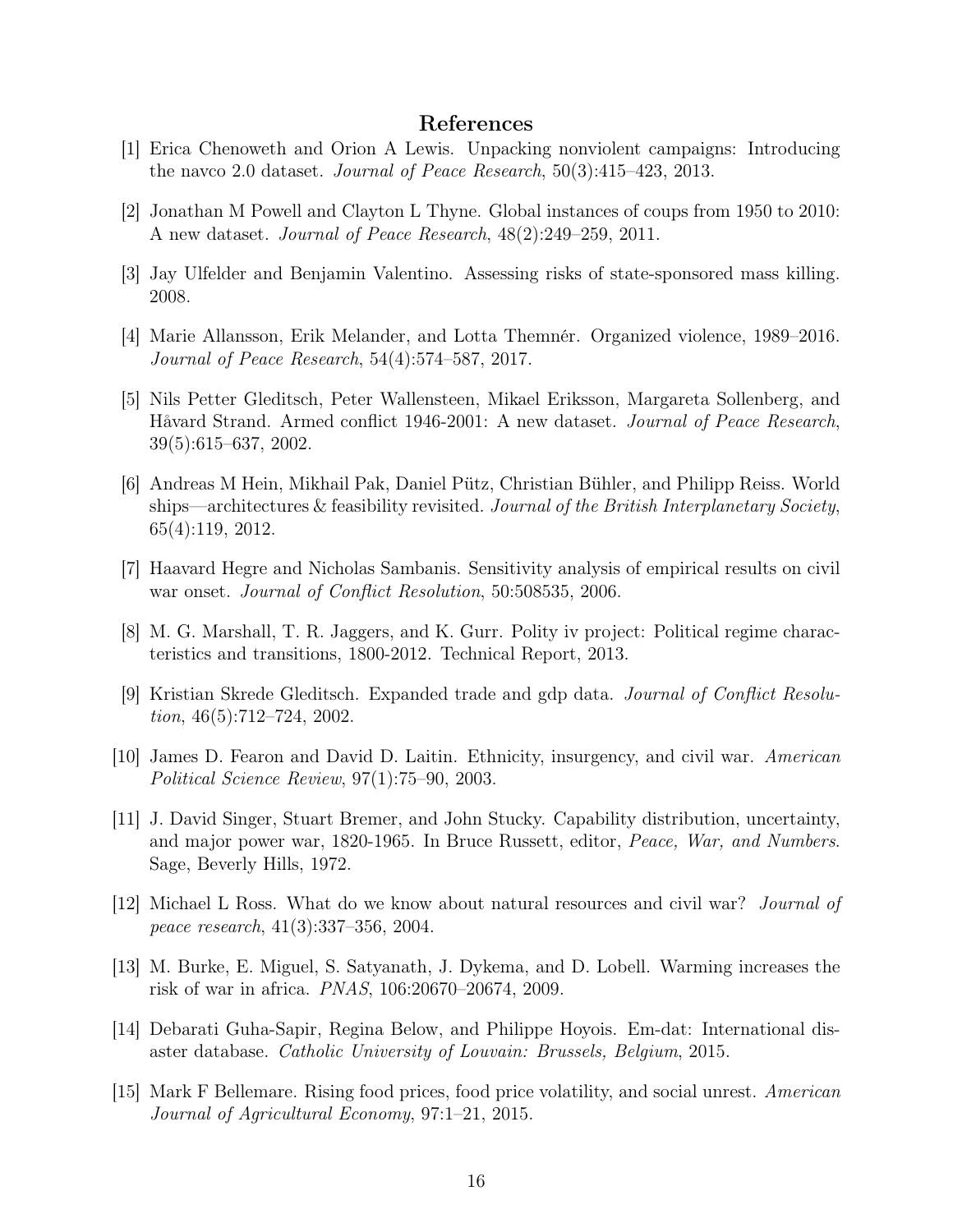## References

- [1] Erica Chenoweth and Orion A Lewis. Unpacking nonviolent campaigns: Introducing the navco 2.0 dataset. *Journal of Peace Research*,  $50(3):415-423$ , 2013.
- [2] Jonathan M Powell and Clayton L Thyne. Global instances of coups from 1950 to 2010: A new dataset. Journal of Peace Research, 48(2):249–259, 2011.
- [3] Jay Ulfelder and Benjamin Valentino. Assessing risks of state-sponsored mass killing. 2008.
- [4] Marie Allansson, Erik Melander, and Lotta Themnér. Organized violence, 1989–2016. Journal of Peace Research, 54(4):574–587, 2017.
- [5] Nils Petter Gleditsch, Peter Wallensteen, Mikael Eriksson, Margareta Sollenberg, and Håvard Strand. Armed conflict 1946-2001: A new dataset. Journal of Peace Research, 39(5):615–637, 2002.
- [6] Andreas M Hein, Mikhail Pak, Daniel Pütz, Christian Bühler, and Philipp Reiss. World ships—architectures & feasibility revisited. Journal of the British Interplanetary Society. 65(4):119, 2012.
- [7] Haavard Hegre and Nicholas Sambanis. Sensitivity analysis of empirical results on civil war onset. Journal of Conflict Resolution, 50:508535, 2006.
- [8] M. G. Marshall, T. R. Jaggers, and K. Gurr. Polity iv project: Political regime characteristics and transitions, 1800-2012. Technical Report, 2013.
- [9] Kristian Skrede Gleditsch. Expanded trade and gdp data. Journal of Conflict Resolution, 46(5):712–724, 2002.
- [10] James D. Fearon and David D. Laitin. Ethnicity, insurgency, and civil war. American Political Science Review, 97(1):75–90, 2003.
- [11] J. David Singer, Stuart Bremer, and John Stucky. Capability distribution, uncertainty, and major power war, 1820-1965. In Bruce Russett, editor, Peace, War, and Numbers. Sage, Beverly Hills, 1972.
- [12] Michael L Ross. What do we know about natural resources and civil war? Journal of peace research, 41(3):337–356, 2004.
- [13] M. Burke, E. Miguel, S. Satyanath, J. Dykema, and D. Lobell. Warming increases the risk of war in africa. PNAS, 106:20670–20674, 2009.
- [14] Debarati Guha-Sapir, Regina Below, and Philippe Hoyois. Em-dat: International disaster database. Catholic University of Louvain: Brussels, Belgium, 2015.
- [15] Mark F Bellemare. Rising food prices, food price volatility, and social unrest. American Journal of Agricultural Economy, 97:1–21, 2015.